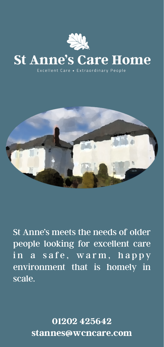

# **St Anne's Care Home**

Excellent Care • Extraordinary People



St Anne's meets the needs of older people looking for excellent care in a safe, warm, happy environment that is homely in scale.

> **01202 425642 [stannes@wcncare.com](mailto:stannes@wcncare.com)**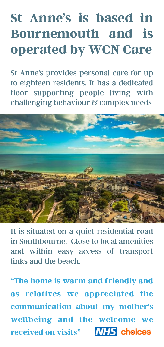# **St Anne's is based in Bournemouth and is operated by WCN Care**

St Anne's provides personal care for up to eighteen residents. It has a dedicated floor supporting people living with challenging behaviour & complex needs



It is situated on a quiet residential road in Southbourne. Close to local amenities and within easy access of transport links and the beach.

**"The home is warm and friendly and as relatives we appreciated the communication about my mother's wellbeing and the welcome we received on visits"**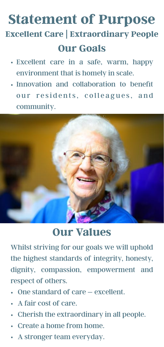### **Our Goals Statement of Purpose Excellent Care | Extraordinary People**

- Excellent care in a safe, warm, happy environment that is homely in scale.
- Innovation and collaboration to benefit our residents, colleagues, and community.



#### **Our Values**

Whilst striving for our goals we will uphold the highest standards of integrity, honesty, dignity, compassion, empowerment and respect of others.

- One standard of care excellent.
- A fair cost of care.
- Cherish the extraordinary in all people.
- Create a home from home.
- A stronger team everyday.